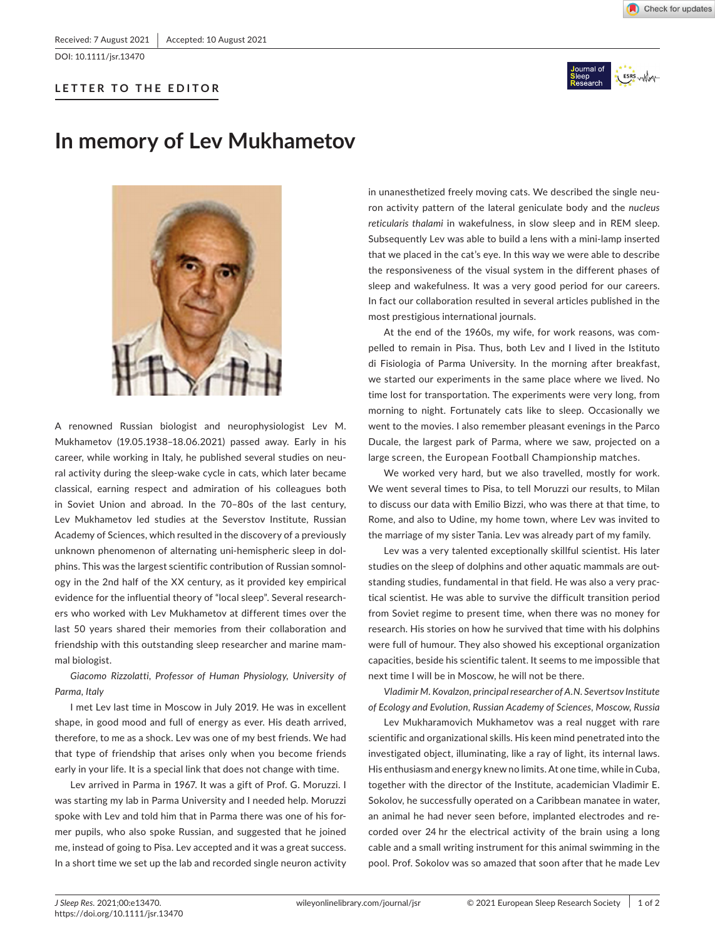DOI: 10.1111/jsr.13470

## **LETTER TO THE EDITOR**



## **In memory of Lev Mukhametov**



A renowned Russian biologist and neurophysiologist Lev M. Mukhametov (19.05.1938–18.06.2021) passed away. Early in his career, while working in Italy, he published several studies on neural activity during the sleep-wake cycle in cats, which later became classical, earning respect and admiration of his colleagues both in Soviet Union and abroad. In the 70–80s of the last century, Lev Mukhametov led studies at the Severstov Institute, Russian Academy of Sciences, which resulted in the discovery of a previously unknown phenomenon of alternating uni-hemispheric sleep in dolphins. This was the largest scientific contribution of Russian somnology in the 2nd half of the XX century, as it provided key empirical evidence for the influential theory of "local sleep". Several researchers who worked with Lev Mukhametov at different times over the last 50 years shared their memories from their collaboration and friendship with this outstanding sleep researcher and marine mammal biologist.

*Giacomo Rizzolatti, Professor of Human Physiology, University of Parma, Italy*

I met Lev last time in Moscow in July 2019. He was in excellent shape, in good mood and full of energy as ever. His death arrived, therefore, to me as a shock. Lev was one of my best friends. We had that type of friendship that arises only when you become friends early in your life. It is a special link that does not change with time.

Lev arrived in Parma in 1967. It was a gift of Prof. G. Moruzzi. I was starting my lab in Parma University and I needed help. Moruzzi spoke with Lev and told him that in Parma there was one of his former pupils, who also spoke Russian, and suggested that he joined me, instead of going to Pisa. Lev accepted and it was a great success. In a short time we set up the lab and recorded single neuron activity

in unanesthetized freely moving cats. We described the single neuron activity pattern of the lateral geniculate body and the *nucleus reticularis thalami* in wakefulness, in slow sleep and in REM sleep. Subsequently Lev was able to build a lens with a mini-lamp inserted that we placed in the cat's eye. In this way we were able to describe the responsiveness of the visual system in the different phases of sleep and wakefulness. It was a very good period for our careers. In fact our collaboration resulted in several articles published in the most prestigious international journals.

At the end of the 1960s, my wife, for work reasons, was compelled to remain in Pisa. Thus, both Lev and I lived in the Istituto di Fisiologia of Parma University. In the morning after breakfast, we started our experiments in the same place where we lived. No time lost for transportation. The experiments were very long, from morning to night. Fortunately cats like to sleep. Occasionally we went to the movies. I also remember pleasant evenings in the Parco Ducale, the largest park of Parma, where we saw, projected on a large screen, the European Football Championship matches.

We worked very hard, but we also travelled, mostly for work. We went several times to Pisa, to tell Moruzzi our results, to Milan to discuss our data with Emilio Bizzi, who was there at that time, to Rome, and also to Udine, my home town, where Lev was invited to the marriage of my sister Tania. Lev was already part of my family.

Lev was a very talented exceptionally skillful scientist. His later studies on the sleep of dolphins and other aquatic mammals are outstanding studies, fundamental in that field. He was also a very practical scientist. He was able to survive the difficult transition period from Soviet regime to present time, when there was no money for research. His stories on how he survived that time with his dolphins were full of humour. They also showed his exceptional organization capacities, beside his scientific talent. It seems to me impossible that next time I wilI be in Moscow, he will not be there.

*Vladimir M. Kovalzon, principal researcher of A.N. Severtsov Institute of Ecology and Evolution, Russian Academy of Sciences, Moscow, Russia*

Lev Mukharamovich Mukhametov was a real nugget with rare scientific and organizational skills. His keen mind penetrated into the investigated object, illuminating, like a ray of light, its internal laws. His enthusiasm and energy knew no limits. At one time, while in Cuba, together with the director of the Institute, academician Vladimir E. Sokolov, he successfully operated on a Caribbean manatee in water, an animal he had never seen before, implanted electrodes and recorded over 24 hr the electrical activity of the brain using a long cable and a small writing instrument for this animal swimming in the pool. Prof. Sokolov was so amazed that soon after that he made Lev